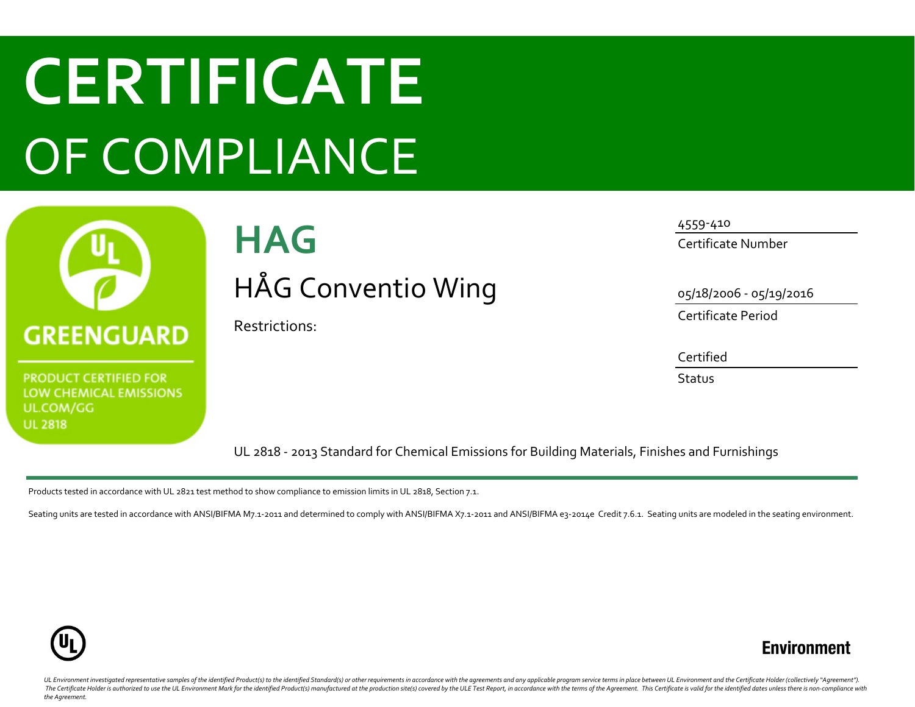# **CERTIFICATE** OF COMPLIANCE



**PRODUCT CERTIFIED FOR LOW CHEMICAL EMISSIONS** UL.COM/GG **UL 2818** 

# **HAG** HÅG Conventio Wing

Restrictions:

4559-410

Certificate Number

05/18/2006 - 05/19/2016

Certificate Period

Certified

**Status** 

UL 2818 - 2013 Standard for Chemical Emissions for Building Materials, Finishes and Furnishings

Products tested in accordance with UL 2821 test method to show compliance to emission limits in UL 2818, Section 7.1.

Seating units are tested in accordance with ANSI/BIFMA M7.1-2011 and determined to comply with ANSI/BIFMA X7.1-2011 and ANSI/BIFMA e3-2014e Credit 7.6.1. Seating units are modeled in the seating environment.



## **Environment**

UL Environment investigated representative samples of the identified Product(s) to the identified Standard(s) or other requirements in accordance with the agreements and any applicable program service terms in place betwee The Certificate Holder is authorized to use the UL Environment Mark for the identified Product(s) manufactured at the production site(s) covered by the ULE Test Report, in accordance with the terms of the Agreement. This C *the Agreement.*